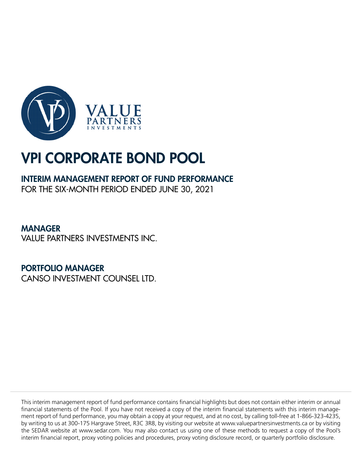

## INTERIM MANAGEMENT REPORT OF FUND PERFORMANCE

FOR THE SIX-MONTH PERIOD ENDED JUNE 30, 2021

MANAGER VALUE PARTNERS INVESTMENTS INC.

PORTFOLIO MANAGER

CANSO INVESTMENT COUNSEL LTD.

This interim management report of fund performance contains financial highlights but does not contain either interim or annual financial statements of the Pool. If you have not received a copy of the interim financial statements with this interim management report of fund performance, you may obtain a copy at your request, and at no cost, by calling toll-free at 1-866-323-4235, by writing to us at 300-175 Hargrave Street, R3C 3R8, by visiting our website at www.valuepartnersinvestments.ca or by visiting the SEDAR website at www.sedar.com. You may also contact us using one of these methods to request a copy of the Pool's interim financial report, proxy voting policies and procedures, proxy voting disclosure record, or quarterly portfolio disclosure.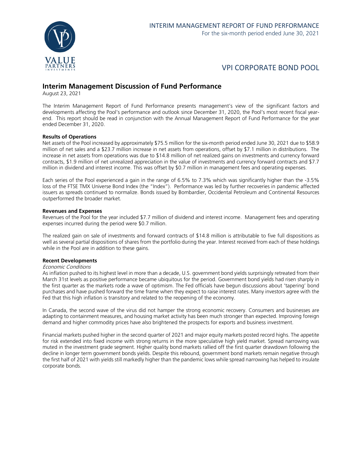

### **Interim Management Discussion of Fund Performance**

August 23, 2021

The Interim Management Report of Fund Performance presents management's view of the significant factors and developments affecting the Pool's performance and outlook since December 31, 2020, the Pool's most recent fiscal yearend. This report should be read in conjunction with the Annual Management Report of Fund Performance for the year ended December 31, 2020.

### **Results of Operations**

Net assets of the Pool increased by approximately \$75.5 million for the six-month period ended June 30, 2021 due to \$58.9 million of net sales and a \$23.7 million increase in net assets from operations, offset by \$7.1 million in distributions. The increase in net assets from operations was due to \$14.8 million of net realized gains on investments and currency forward contracts, \$1.9 million of net unrealized appreciation in the value of investments and currency forward contracts and \$7.7 million in dividend and interest income. This was offset by \$0.7 million in management fees and operating expenses.

Each series of the Pool experienced a gain in the range of 6.5% to 7.3% which was significantly higher than the -3.5% loss of the FTSE TMX Universe Bond Index (the "Index"). Performance was led by further recoveries in pandemic affected issuers as spreads continued to normalize. Bonds issued by Bombardier, Occidental Petroleum and Continental Resources outperformed the broader market.

### **Revenues and Expenses**

Revenues of the Pool for the year included \$7.7 million of dividend and interest income. Management fees and operating expenses incurred during the period were \$0.7 million.

The realized gain on sale of investments and forward contracts of \$14.8 million is attributable to five full dispositions as well as several partial dispositions of shares from the portfolio during the year. Interest received from each of these holdings while in the Pool are in addition to these gains.

### **Recent Developments**

#### Economic Conditions

As inflation pushed to its highest level in more than a decade, U.S. government bond yields surprisingly retreated from their March 31st levels as positive performance became ubiquitous for the period. Government bond yields had risen sharply in the first quarter as the markets rode a wave of optimism. The Fed officials have begun discussions about 'tapering' bond purchases and have pushed forward the time frame when they expect to raise interest rates. Many investors agree with the Fed that this high inflation is transitory and related to the reopening of the economy.

In Canada, the second wave of the virus did not hamper the strong economic recovery. Consumers and businesses are adapting to containment measures, and housing market activity has been much stronger than expected. Improving foreign demand and higher commodity prices have also brightened the prospects for exports and business investment.

Financial markets pushed higher in the second quarter of 2021 and major equity markets posted record highs. The appetite for risk extended into fixed income with strong returns in the more speculative high yield market. Spread narrowing was muted in the investment grade segment. Higher quality bond markets rallied off the first quarter drawdown following the decline in longer term government bonds yields. Despite this rebound, government bond markets remain negative through the first half of 2021 with yields still markedly higher than the pandemic lows while spread narrowing has helped to insulate corporate bonds.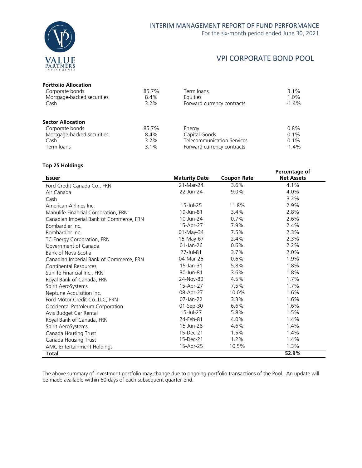

### VPI CORPORATE BOND POOL

### **Portfolio Allocation**

| Corporate bonds            | 85.7%   | Term loans                        | 3.1%    |
|----------------------------|---------|-----------------------------------|---------|
| Mortgage-backed securities | 8.4%    | <b>Equities</b>                   | 1.0%    |
| Cash                       | $3.2\%$ | Forward currency contracts        | $-1.4%$ |
| <b>Sector Allocation</b>   |         |                                   |         |
| Corporate bonds            | 85.7%   | Energy                            | 0.8%    |
| Mortgage-backed securities | 8.4%    | Capital Goods                     | 0.1%    |
| Cash                       | $3.2\%$ | <b>Telecommunication Services</b> | 0.1%    |
| Term loans                 | $3.1\%$ | Forward currency contracts        | $-1.4%$ |
|                            |         |                                   |         |

### **Top 25 Holdings**

|                                         |                      |                    | Percentage of     |
|-----------------------------------------|----------------------|--------------------|-------------------|
| <b>Issuer</b>                           | <b>Maturity Date</b> | <b>Coupon Rate</b> | <b>Net Assets</b> |
| Ford Credit Canada Co., FRN             | 21-Mar-24            | 3.6%               | 4.1%              |
| Air Canada                              | 22-Jun-24            | 9.0%               | 4.0%              |
| Cash                                    |                      |                    | 3.2%              |
| American Airlines Inc.                  | $15$ -Jul-25         | 11.8%              | 2.9%              |
| Manulife Financial Corporation, FRN`    | 19-Jun-81            | 3.4%               | 2.8%              |
| Canadian Imperial Bank of Commerce, FRN | 10-Jun-24            | 0.7%               | 2.6%              |
| Bombardier Inc.                         | 15-Apr-27            | 7.9%               | 2.4%              |
| Bombardier Inc.                         | 01-May-34            | 7.5%               | 2.3%              |
| TC Energy Corporation, FRN              | 15-May-67            | 2.4%               | 2.3%              |
| Government of Canada                    | $01$ -Jan-26         | 0.6%               | 2.2%              |
| Bank of Nova Scotia                     | 27-Jul-81            | 3.7%               | 2.0%              |
| Canadian Imperial Bank of Commerce, FRN | 04-Mar-25            | 0.6%               | 1.9%              |
| Continental Resources                   | 15-Jan-31            | 5.8%               | 1.8%              |
| Sunlife Financial Inc., FRN             | 30-Jun-81            | 3.6%               | 1.8%              |
| Royal Bank of Canada, FRN               | 24-Nov-80            | 4.5%               | 1.7%              |
| Spirit AeroSystems                      | 15-Apr-27            | 7.5%               | 1.7%              |
| Neptune Acquisition Inc.                | 08-Apr-27            | 10.0%              | 1.6%              |
| Ford Motor Credit Co. LLC, FRN          | $07$ -Jan-22         | 3.3%               | 1.6%              |
| Occidental Petroleum Corporation        | 01-Sep-30            | 6.6%               | 1.6%              |
| Avis Budget Car Rental                  | 15-Jul-27            | 5.8%               | 1.5%              |
| Royal Bank of Canada, FRN               | 24-Feb-81            | 4.0%               | 1.4%              |
| Spirit AeroSystems                      | 15-Jun-28            | 4.6%               | 1.4%              |
| Canada Housing Trust                    | 15-Dec-21            | 1.5%               | 1.4%              |
| Canada Housing Trust                    | 15-Dec-21            | 1.2%               | 1.4%              |
| AMC Entertainment Holdings              | 15-Apr-25            | 10.5%              | 1.3%              |
| <b>Total</b>                            |                      |                    | 52.9%             |

The above summary of investment portfolio may change due to ongoing portfolio transactions of the Pool. An update will be made available within 60 days of each subsequent quarter-end.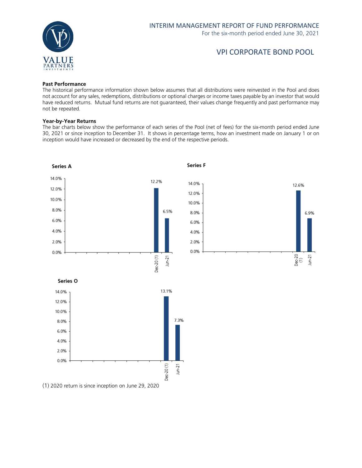

### VPI CORPORATE BOND POOL

### **Past Performance**

The historical performance information shown below assumes that all distributions were reinvested in the Pool and does not account for any sales, redemptions, distributions or optional charges or income taxes payable by an investor that would have reduced returns. Mutual fund returns are not guaranteed, their values change frequently and past performance may not be repeated.

### **Year-by-Year Returns**

The bar charts below show the performance of each series of the Pool (net of fees) for the six-month period ended June 30, 2021 or since inception to December 31. It shows in percentage terms, how an investment made on January 1 or on inception would have increased or decreased by the end of the respective periods.



(1) 2020 return is since inception on June 29, 2020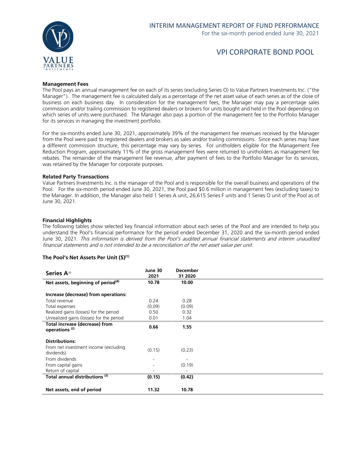

### VPI CORPORATE BOND POOL

### **Management Fees**

The Pool pays an annual management fee on each of its series (excluding Series O) to Value Partners Investments Inc. ("the Manager"). The management fee is calculated daily as a percentage of the net asset value of each series as of the close of business on each business day. In consideration for the management fees, the Manager may pay a percentage sales commission and/or trailing commission to registered dealers or brokers for units bought and held in the Pool depending on which series of units were purchased. The Manager also pays a portion of the management fee to the Portfolio Manager for its services in managing the investment portfolio.

For the six-months ended June 30, 2021, approximately 39% of the management fee revenues received by the Manager from the Pool were paid to registered dealers and brokers as sales and/or trailing commissions. Since each series may have a different commission structure, this percentage may vary by series. For unitholders eligible for the Management Fee Reduction Program, approximately 11% of the gross management fees were returned to unitholders as management fee rebates. The remainder of the management fee revenue, after payment of fees to the Portfolio Manager for its services, was retained by the Manager for corporate purposes.

#### **Related Party Transactions**

Value Partners Investments Inc. is the manager of the Pool and is responsible for the overall business and operations of the Pool. For the six-month period ended June 30, 2021, the Pool paid \$0.6 million in management fees (excluding taxes) to the Manager. In addition, the Manager also held 1 Series A unit, 26,615 Series F units and 1 Series O unit of the Pool as of June 30, 2021.

### **Financial Highlights**

The following tables show selected key financial information about each series of the Pool and are intended to help you understand the Pool's financial performance for the period ended December 31, 2020 and the six-month period ended June 30, 2021. This information is derived from the Pool's audited annual financial statements and interim unaudited financial statements and is not intended to be a reconciliation of the net asset value per unit.

#### **The Pool's Net Assets Per Unit (\$)(1)**

| Series A <sup>(4)</sup>                                     | June 30<br>2021 | <b>December</b><br>31 2020 |
|-------------------------------------------------------------|-----------------|----------------------------|
| Net assets, beginning of period <sup>(4)</sup>              | 10.78           | 10.00                      |
| Increase (decrease) from operations:                        |                 |                            |
| Total revenue                                               | 0.24            | 0.28                       |
| Total expenses                                              | (0.09)          | (0.09)                     |
| Realized gains (losses) for the period                      | 0.50            | 0.32                       |
| Unrealized gains (losses) for the period                    | 0.01            | 1.04                       |
| Total increase (decrease) from<br>operations <sup>(2)</sup> | 0.66            | 1.55                       |
| <b>Distributions:</b>                                       |                 |                            |
| From net investment income (excluding<br>dividends)         | (0.15)          | (0.23)                     |
| From dividends                                              |                 |                            |
| From capital gains                                          |                 | (0.19)                     |
| Return of capital                                           |                 |                            |
| Total annual distributions (3)                              | (0.15)          | (0.42)                     |
|                                                             |                 |                            |
| Net assets, end of period                                   | 11.32           | 10.78                      |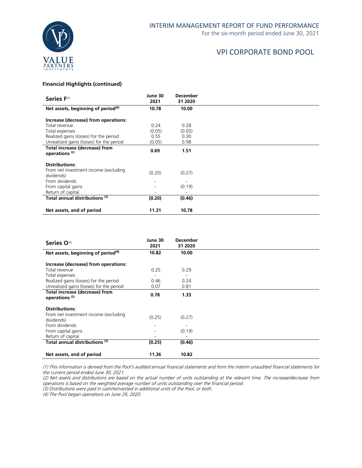### VPI CORPORATE BOND POOL

### **Financial Highlights (continued)**

| Series F <sup>(4)</sup>                                     | June 30<br>2021              | <b>December</b><br>31 2020 |  |
|-------------------------------------------------------------|------------------------------|----------------------------|--|
| Net assets, beginning of period <sup>(4)</sup>              | 10.78                        | 10.00                      |  |
| Increase (decrease) from operations:                        |                              |                            |  |
| Total revenue                                               | 0.24                         | 0.28                       |  |
| Total expenses                                              | (0.05)                       | (0.05)                     |  |
| Realized gains (losses) for the period                      | 0.55                         | 0.30                       |  |
| Unrealized gains (losses) for the period                    | (0.05)                       | 0.98                       |  |
| Total increase (decrease) from<br>operations <sup>(2)</sup> | 0.69                         | 1.51                       |  |
| <b>Distributions:</b>                                       |                              |                            |  |
| From net investment income (excluding<br>dividends)         | (0.20)                       | (0.27)                     |  |
| From dividends                                              |                              |                            |  |
| From capital gains                                          | $\qquad \qquad \blacksquare$ | (0.19)                     |  |
| Return of capital                                           |                              |                            |  |
| Total annual distributions (3)                              | (0.20)                       | (0.46)                     |  |
| Net assets, end of period                                   | 11.31                        | 10.78                      |  |

| Series O <sup>(4)</sup>                                     | June 30<br>2021              | <b>December</b><br>31 2020 |  |
|-------------------------------------------------------------|------------------------------|----------------------------|--|
| Net assets, beginning of period <sup>(4)</sup>              | 10.82                        | 10.00                      |  |
| Increase (decrease) from operations:                        |                              |                            |  |
| Total revenue                                               | 0.25                         | 0.29                       |  |
| Total expenses                                              | $\qquad \qquad \blacksquare$ |                            |  |
| Realized gains (losses) for the period                      | 0.46                         | 0.24                       |  |
| Unrealized gains (losses) for the period                    | 0.07                         | 0.81                       |  |
| Total increase (decrease) from<br>operations <sup>(2)</sup> | 0.78                         | 1.33                       |  |
| <b>Distributions:</b>                                       |                              |                            |  |
| From net investment income (excluding<br>dividends)         | (0.25)                       | (0.27)                     |  |
| From dividends                                              |                              |                            |  |
| From capital gains                                          |                              | (0.19)                     |  |
| Return of capital                                           | -                            |                            |  |
| Total annual distributions (3)                              | (0.25)                       | (0.46)                     |  |
| Net assets, end of period                                   | 11.36                        | 10.82                      |  |

(1) This information is derived from the Pool's audited annual financial statements and from the interim unaudited financial statements for the current period ended June 30, 2021.

(2) Net assets and distributions are based on the actual number of units outstanding at the relevant time. The increase/decrease from operations is based on the weighted average number of units outstanding over the financial period.

(3) Distributions were paid in cash/reinvested in additional units of the Pool, or both.

(4) The Pool began operations on June 29, 2020.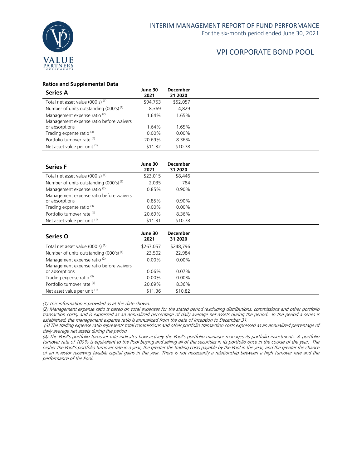

### **Ratios and Supplemental Data**

| <b>Series A</b>                              | June 30<br>2021 | <b>December</b><br>31 2020 |
|----------------------------------------------|-----------------|----------------------------|
| Total net asset value (000's) <sup>(1)</sup> | \$94,753        | \$52,057                   |
| Number of units outstanding $(000's)^{(1)}$  | 8,369           | 4,829                      |
| Management expense ratio <sup>(2)</sup>      | 1.64%           | 1.65%                      |
| Management expense ratio before waivers      |                 |                            |
| or absorptions                               | 1.64%           | 1.65%                      |
| Trading expense ratio <sup>(3)</sup>         | $0.00\%$        | $0.00\%$                   |
| Portfolio turnover rate (4)                  | 20.69%          | 8.36%                      |
| Net asset value per unit (1)                 | \$11.32         | \$10.78                    |

| <b>Series F</b>                              | June 30<br>2021 | <b>December</b><br>31 2020 |
|----------------------------------------------|-----------------|----------------------------|
| Total net asset value (000's) <sup>(1)</sup> | \$23,015        | \$8,446                    |
| Number of units outstanding $(000's)^{(1)}$  | 2,035           | 784                        |
| Management expense ratio <sup>(2)</sup>      | 0.85%           | 0.90%                      |
| Management expense ratio before waivers      |                 |                            |
| or absorptions                               | 0.85%           | 0.90%                      |
| Trading expense ratio <sup>(3)</sup>         | $0.00\%$        | $0.00\%$                   |
| Portfolio turnover rate (4)                  | 20.69%          | 8.36%                      |
| Net asset value per unit (1)                 | \$11.31         | \$10.78                    |

| <b>Series O</b>                              | June 30<br>2021 | <b>December</b><br>31 2020 |
|----------------------------------------------|-----------------|----------------------------|
| Total net asset value (000's) <sup>(1)</sup> | \$267,057       | \$248,796                  |
| Number of units outstanding $(000's)^{(1)}$  | 23,502          | 22,984                     |
| Management expense ratio <sup>(2)</sup>      | $0.00\%$        | $0.00\%$                   |
| Management expense ratio before waivers      |                 |                            |
| or absorptions                               | $0.06\%$        | $0.07\%$                   |
| Trading expense ratio <sup>(3)</sup>         | $0.00\%$        | $0.00\%$                   |
| Portfolio turnover rate (4)                  | 20.69%          | 8.36%                      |
| Net asset value per unit (1)                 | \$11.36         | \$10.82                    |

(1) This information is provided as at the date shown.

(2) Management expense ratio is based on total expenses for the stated period (excluding distributions, commissions and other portfolio transaction costs) and is expressed as an annualized percentage of daily average net assets during the period. In the period a series is established, the management expense ratio is annualized from the date of inception to December 31.

(3) The trading expense ratio represents total commissions and other portfolio transaction costs expressed as an annualized percentage of daily average net assets during the period.

(4) The Pool's portfolio turnover rate indicates how actively the Pool's portfolio manager manages its portfolio investments. A portfolio turnover rate of 100% is equivalent to the Pool buying and selling all of the securities in its portfolio once in the course of the year. The higher the Pool's portfolio turnover rate in a year, the greater the trading costs payable by the Pool in the year, and the greater the chance of an investor receiving taxable capital gains in the year. There is not necessarily a relationship between a high turnover rate and the performance of the Pool.